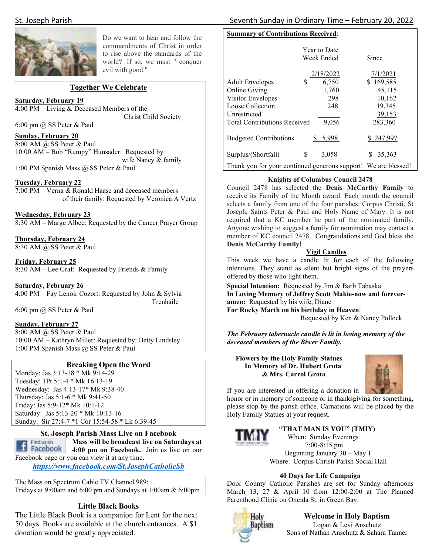

Do we want to hear and follow the commandments of Christ in order to rise above the standards of the world? If so, we must " conquer evil with good."

#### **Together We Celebrate**

**Saturday, February 19**  4:00 PM – Living & Deceased Members of the

Christ Child Society

6:00 pm @ SS Peter & Paul

**Sunday, February 20** 

8:00 AM @ SS Peter & Paul 10:00 AM – Bob "Rumpy" Hunsader: Requested by wife Nancy & family

1:00 PM Spanish Mass @ SS Peter & Paul

#### **Tuesday, February 22**

7:00 PM – Verna & Ronald Haase and deceased members of their family: Requested by Veronica A Vertz

**Wednesday, February 23**  8:30 AM – Marge Albee: Requested by the Cancer Prayer Group

**Thursday, February 24**  8:30 AM @ SS Peter & Paul

**Friday, February 25**  8:30 AM – Lee Graf: Requested by Friends & Family

**Saturday, February 26**  4:00 PM – Fay Lenoir Cozort: Requested by John & Sylvia Trenhaile

6:00 pm @ SS Peter & Paul

#### **Sunday, February 27**

8:00 AM @ SS Peter & Paul 10:00 AM – Kathryn Miller: Requested by: Betty Lindsley 1:00 PM Spanish Mass @ SS Peter & Paul

#### **Breaking Open the Word**

Monday: Jas 3:13-18 \* Mk 9:14-29 Tuesday: 1Pt 5:1-4 \* Mk 16:13-19 Wednesday: Jas 4:13-17\* Mk 9:38-40 Thursday: Jas 5:1-6 \* Mk 9:41-50 Friday: Jas 5:9-12\* Mk 10:1-12 Saturday: Jas 5:13-20 \* Mk 10:13-16 Sunday: Sir 27:4-7 \*1 Cor 15:54-58 \* Lk 6:39-45

#### **St. Joseph Parish Mass Live on Facebook**

Find us on **Mass will be broadcast live on Saturdays at 1 Facebook** 4:00 pm on Facebook. Join us live on our Facebook page or you can view it at any time.

*https://www.facebook.com/St.JosephCatholicSb* 

The Mass on Spectrum Cable TV Channel 989: Fridays at 9:00am and 6:00 pm and Sundays at 1:00am & 6:00pm

#### **Little Black Books**

The Little Black Book is a companion for Lent for the next 50 days. Books are available at the church entrances. A \$1 donation would be greatly appreciated.

#### **Summary of Contributions Received**:

|                                                                | <b>Year to Date</b><br>Week Ended |           | Since     |
|----------------------------------------------------------------|-----------------------------------|-----------|-----------|
|                                                                |                                   | 2/18/2022 | 7/1/2021  |
| <b>Adult Envelopes</b>                                         | \$                                | 6,750     | \$169,585 |
| Online Giving                                                  |                                   | 1,760     | 45,115    |
| Visitor Envelopes                                              |                                   | 298       | 10,162    |
| Loose Collection                                               |                                   | 248       | 19,345    |
| Unrestricted                                                   |                                   |           | 39,153    |
| <b>Total Contributions Received</b>                            |                                   | 9,056     | 283,360   |
| <b>Budgeted Contributions</b>                                  |                                   | 5,998     | \$247,997 |
| Surplus/(Shortfall)                                            | \$                                | 3,058     | 35,363    |
| Thank you for your continued generous support! We are blessed! |                                   |           |           |

#### **Knights of Columbus Council 2478**

Council 2478 has selected the **Denis McCarthy Family** to receive its Family of the Month award. Each month the council selects a family from one of the four parishes: Corpus Christi, St Joseph, Saints Peter & Paul and Holy Name of Mary. It is not required that a KC member be part of the nominated family. Anyone wishing to suggest a family for nomination may contact a member of KC council 2478. Congratulations and God bless the **Denis McCarthy Family!** 

#### **Vigil Candles**

This week we have a candle lit for each of the following intentions. They stand as silent but bright signs of the prayers offered by those who light them.

**Special Intention:** Requested by Jim & Barb Tabaska **In Loving Memory of Jeffrey Scott Makie-now and foreveramen:** Requested by his wife, Diane **For Rocky Marth on his birthday in Heaven**: Requested by Ken & Nancy Pollock

*The February tabernacle candle is lit in loving memory of the deceased members of the Biwer Family.* 

 **Flowers by the Holy Family Statues In Memory of Dr. Hubert Grota & Mrs. Carrol Grota** 

Holy Family Statues at your request.



If you are interested in offering a donation in honor or in memory of someone or in thanksgiving for something, please stop by the parish office. Carnations will be placed by the



#### **"THAT MAN IS YOU" (TMIY)**  When: Sunday Evenings

 7:00-8:15 pm Beginning January 30 – May 1 Where: Corpus Christi Parish Social Hall

#### **40 Days for Life Campaign**

Door County Catholic Parishes are set for Sunday afternoons March 13, 27 & April 10 from 12:00-2:00 at The Planned Parenthood Clinic on Oneida St. in Green Bay.



**Welcome in Holy Baptism**  Logan & Levi Anschutz Sons of Nathan Anschutz & Sahara Tanner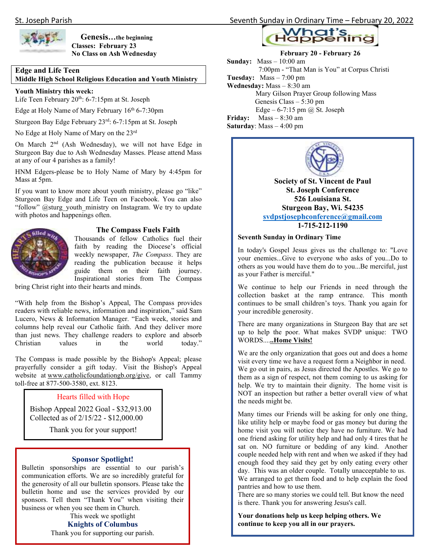

 **Genesis…the beginning Classes: February 23 No Class on Ash Wednesday** 

### **Edge and Life Teen**

**Middle High School Religious Education and Youth Ministry** 

**Youth Ministry this week:**  Life Teen February  $20^{th}$ : 6-7:15pm at St. Joseph

Edge at Holy Name of Mary February 16th 6-7:30pm

Sturgeon Bay Edge February 23rd: 6-7:15pm at St. Joseph

No Edge at Holy Name of Mary on the 23rd

On March 2<sup>nd</sup> (Ash Wednesday), we will not have Edge in Sturgeon Bay due to Ash Wednesday Masses. Please attend Mass at any of our 4 parishes as a family!

HNM Edgers-please be to Holy Name of Mary by 4:45pm for Mass at 5pm.

If you want to know more about youth ministry, please go "like" Sturgeon Bay Edge and Life Teen on Facebook. You can also "follow" @sturg\_youth\_ministry on Instagram. We try to update with photos and happenings often.



#### **The Compass Fuels Faith**

Thousands of fellow Catholics fuel their faith by reading the Diocese's official weekly newspaper, *The Compass*. They are reading the publication because it helps guide them on their faith journey. Inspirational stories from The Compass

bring Christ right into their hearts and minds.

"With help from the Bishop's Appeal, The Compass provides readers with reliable news, information and inspiration," said Sam Lucero, News & Information Manager. "Each week, stories and columns help reveal our Catholic faith. And they deliver more than just news. They challenge readers to explore and absorb<br>Christian values in the world today." Christian

The Compass is made possible by the Bishop's Appeal; please prayerfully consider a gift today. Visit the Bishop's Appeal website at www.catholicfoundationgb.org/give, or call Tammy toll-free at 877-500-3580, ext. 8123.

#### Hearts filled with Hope

Bishop Appeal 2022 Goal - \$32,913.00 Collected as of 2/15/22 - \$12,000.00

Thank you for your support!

#### **Sponsor Spotlight!**

sponsors. For them Thank Tou when Bulletin sponsorships are essential to our parish's communication efforts. We are so incredibly grateful for the generosity of all our bulletin sponsors. Please take the bulletin home and use the services provided by our sponsors. Tell them "Thank You" when visiting their

This week we spotlight

#### **Knights of Columbus**

Thank you for supporting our parish.



#### **February 20 - February 26 Sunday:** Mass – 10:00 am 7:00pm - "That Man is You" at Corpus Christi **Tuesday:** Mass – 7:00 pm **Wednesday:** Mass – 8:30 am Mary Gilson Prayer Group following Mass Genesis Class  $-5:30 \text{ pm}$ Edge –  $6-7:15$  pm  $(a)$  St. Joseph **Friday:** Mass – 8:30 am **Saturday**: Mass – 4:00 pm



#### **Society of St. Vincent de Paul St. Joseph Conference 526 Louisiana St. Sturgeon Bay, Wi. 54235 svdpstjosephconference@gmail.com 1-715-212-1190**

#### **Seventh Sunday in Ordinary Time**

In today's Gospel Jesus gives us the challenge to: "Love your enemies...Give to everyone who asks of you...Do to others as you would have them do to you...Be merciful, just as your Father is merciful."

We continue to help our Friends in need through the collection basket at the ramp entrance. This month continues to be small children's toys. Thank you again for your incredible generosity.

There are many organizations in Sturgeon Bay that are set up to help the poor. What makes SVDP unique: TWO WORDS....**..Home Visits!**

We are the only organization that goes out and does a home visit every time we have a request form a Neighbor in need. We go out in pairs, as Jesus directed the Apostles. We go to them as a sign of respect, not them coming to us asking for help. We try to maintain their dignity. The home visit is NOT an inspection but rather a better overall view of what the needs might be.

Many times our Friends will be asking for only one thing, like utility help or maybe food or gas money but during the home visit you will notice they have no furniture. We had one friend asking for utility help and had only 4 tires that he sat on. NO furniture or bedding of any kind. Another couple needed help with rent and when we asked if they had enough food they said they get by only eating every other day. This was an older couple. Totally unacceptable to us. We arranged to get them food and to help explain the food pantries and how to use them.

There are so many stories we could tell. But know the need is there. Thank you for answering Jesus's call.

**Your donations help us keep helping others. We continue to keep you all in our prayers.**